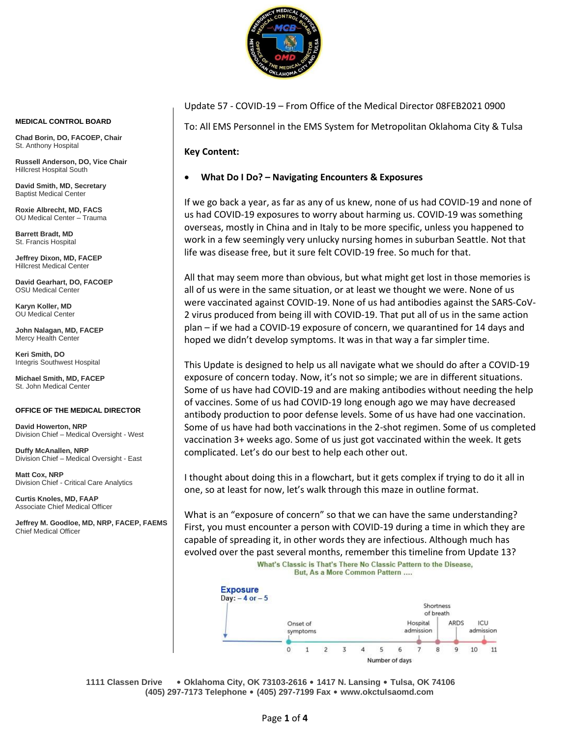

Update 57 - COVID-19 – From Office of the Medical Director 08FEB2021 0900

To: All EMS Personnel in the EMS System for Metropolitan Oklahoma City & Tulsa

## **Key Content:**

## • **What Do I Do? – Navigating Encounters & Exposures**

If we go back a year, as far as any of us knew, none of us had COVID-19 and none of us had COVID-19 exposures to worry about harming us. COVID-19 was something overseas, mostly in China and in Italy to be more specific, unless you happened to work in a few seemingly very unlucky nursing homes in suburban Seattle. Not that life was disease free, but it sure felt COVID-19 free. So much for that.

All that may seem more than obvious, but what might get lost in those memories is all of us were in the same situation, or at least we thought we were. None of us were vaccinated against COVID-19. None of us had antibodies against the SARS-CoV-2 virus produced from being ill with COVID-19. That put all of us in the same action plan – if we had a COVID-19 exposure of concern, we quarantined for 14 days and hoped we didn't develop symptoms. It was in that way a far simpler time.

This Update is designed to help us all navigate what we should do after a COVID-19 exposure of concern today. Now, it's not so simple; we are in different situations. Some of us have had COVID-19 and are making antibodies without needing the help of vaccines. Some of us had COVID-19 long enough ago we may have decreased antibody production to poor defense levels. Some of us have had one vaccination. Some of us have had both vaccinations in the 2-shot regimen. Some of us completed vaccination 3+ weeks ago. Some of us just got vaccinated within the week. It gets complicated. Let's do our best to help each other out.

I thought about doing this in a flowchart, but it gets complex if trying to do it all in one, so at least for now, let's walk through this maze in outline format.

What is an "exposure of concern" so that we can have the same understanding? First, you must encounter a person with COVID-19 during a time in which they are capable of spreading it, in other words they are infectious. Although much has evolved over the past several months, remember this timeline from Update 13?What's Classic is That's There No Classic Pattern to the Disease,



**1111 Classen Drive** • **Oklahoma City, OK 73103-2616** • **1417 N. Lansing** • **Tulsa, OK 74106 (405) 297-7173 Telephone** • **(405) 297-7199 Fax** • **[www.okctulsaomd.com](http://www.okctulsaomd.com/)**

## **MEDICAL CONTROL BOARD**

**Chad Borin, DO, FACOEP, Chair** St. Anthony Hospital

**Russell Anderson, DO, Vice Chair** Hillcrest Hospital South

**David Smith, MD, Secretary** Baptist Medical Center

**Roxie Albrecht, MD, FACS** OU Medical Center – Trauma

**Barrett Bradt, MD** St. Francis Hospital

**Jeffrey Dixon, MD, FACEP** Hillcrest Medical Center

**David Gearhart, DO, FACOEP** OSU Medical Center

**Karyn Koller, MD** OU Medical Center

**John Nalagan, MD, FACEP** Mercy Health Center

**Keri Smith, DO** Integris Southwest Hospital

**Michael Smith, MD, FACEP** St. John Medical Center

## **OFFICE OF THE MEDICAL DIRECTOR**

**David Howerton, NRP** Division Chief – Medical Oversight - West

**Duffy McAnallen, NRP** Division Chief – Medical Oversight - East

**Matt Cox, NRP** Division Chief - Critical Care Analytics

**Curtis Knoles, MD, FAAP** Associate Chief Medical Officer

**Jeffrey M. Goodloe, MD, NRP, FACEP, FAEMS** Chief Medical Officer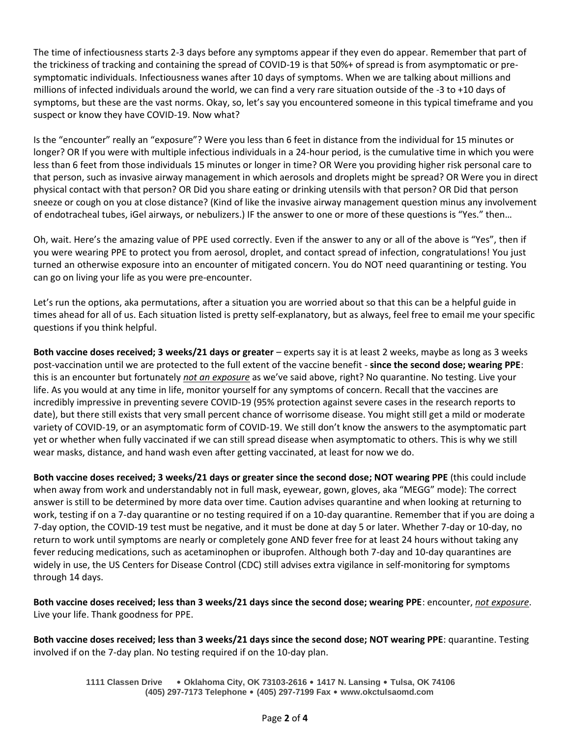The time of infectiousness starts 2-3 days before any symptoms appear if they even do appear. Remember that part of the trickiness of tracking and containing the spread of COVID-19 is that 50%+ of spread is from asymptomatic or presymptomatic individuals. Infectiousness wanes after 10 days of symptoms. When we are talking about millions and millions of infected individuals around the world, we can find a very rare situation outside of the -3 to +10 days of symptoms, but these are the vast norms. Okay, so, let's say you encountered someone in this typical timeframe and you suspect or know they have COVID-19. Now what?

Is the "encounter" really an "exposure"? Were you less than 6 feet in distance from the individual for 15 minutes or longer? OR If you were with multiple infectious individuals in a 24-hour period, is the cumulative time in which you were less than 6 feet from those individuals 15 minutes or longer in time? OR Were you providing higher risk personal care to that person, such as invasive airway management in which aerosols and droplets might be spread? OR Were you in direct physical contact with that person? OR Did you share eating or drinking utensils with that person? OR Did that person sneeze or cough on you at close distance? (Kind of like the invasive airway management question minus any involvement of endotracheal tubes, iGel airways, or nebulizers.) IF the answer to one or more of these questions is "Yes." then…

Oh, wait. Here's the amazing value of PPE used correctly. Even if the answer to any or all of the above is "Yes", then if you were wearing PPE to protect you from aerosol, droplet, and contact spread of infection, congratulations! You just turned an otherwise exposure into an encounter of mitigated concern. You do NOT need quarantining or testing. You can go on living your life as you were pre-encounter.

Let's run the options, aka permutations, after a situation you are worried about so that this can be a helpful guide in times ahead for all of us. Each situation listed is pretty self-explanatory, but as always, feel free to email me your specific questions if you think helpful.

**Both vaccine doses received; 3 weeks/21 days or greater** – experts say it is at least 2 weeks, maybe as long as 3 weeks post-vaccination until we are protected to the full extent of the vaccine benefit - **since the second dose; wearing PPE**: this is an encounter but fortunately *not an exposure* as we've said above, right? No quarantine. No testing. Live your life. As you would at any time in life, monitor yourself for any symptoms of concern. Recall that the vaccines are incredibly impressive in preventing severe COVID-19 (95% protection against severe cases in the research reports to date), but there still exists that very small percent chance of worrisome disease. You might still get a mild or moderate variety of COVID-19, or an asymptomatic form of COVID-19. We still don't know the answers to the asymptomatic part yet or whether when fully vaccinated if we can still spread disease when asymptomatic to others. This is why we still wear masks, distance, and hand wash even after getting vaccinated, at least for now we do.

**Both vaccine doses received; 3 weeks/21 days or greater since the second dose; NOT wearing PPE** (this could include when away from work and understandably not in full mask, eyewear, gown, gloves, aka "MEGG" mode): The correct answer is still to be determined by more data over time. Caution advises quarantine and when looking at returning to work, testing if on a 7-day quarantine or no testing required if on a 10-day quarantine. Remember that if you are doing a 7-day option, the COVID-19 test must be negative, and it must be done at day 5 or later. Whether 7-day or 10-day, no return to work until symptoms are nearly or completely gone AND fever free for at least 24 hours without taking any fever reducing medications, such as acetaminophen or ibuprofen. Although both 7-day and 10-day quarantines are widely in use, the US Centers for Disease Control (CDC) still advises extra vigilance in self-monitoring for symptoms through 14 days.

**Both vaccine doses received; less than 3 weeks/21 days since the second dose; wearing PPE**: encounter, *not exposure*. Live your life. Thank goodness for PPE.

**Both vaccine doses received; less than 3 weeks/21 days since the second dose; NOT wearing PPE**: quarantine. Testing involved if on the 7-day plan. No testing required if on the 10-day plan.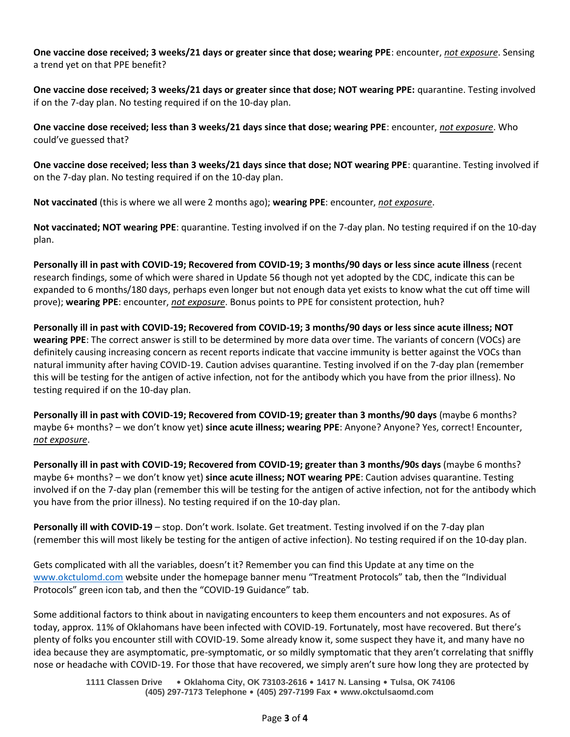**One vaccine dose received; 3 weeks/21 days or greater since that dose; wearing PPE**: encounter, *not exposure*. Sensing a trend yet on that PPE benefit?

**One vaccine dose received; 3 weeks/21 days or greater since that dose; NOT wearing PPE:** quarantine. Testing involved if on the 7-day plan. No testing required if on the 10-day plan.

**One vaccine dose received; less than 3 weeks/21 days since that dose; wearing PPE**: encounter, *not exposure*. Who could've guessed that?

**One vaccine dose received; less than 3 weeks/21 days since that dose; NOT wearing PPE**: quarantine. Testing involved if on the 7-day plan. No testing required if on the 10-day plan.

**Not vaccinated** (this is where we all were 2 months ago); **wearing PPE**: encounter, *not exposure*.

**Not vaccinated; NOT wearing PPE**: quarantine. Testing involved if on the 7-day plan. No testing required if on the 10-day plan.

**Personally ill in past with COVID-19; Recovered from COVID-19; 3 months/90 days or less since acute illness** (recent research findings, some of which were shared in Update 56 though not yet adopted by the CDC, indicate this can be expanded to 6 months/180 days, perhaps even longer but not enough data yet exists to know what the cut off time will prove); **wearing PPE**: encounter, *not exposure*. Bonus points to PPE for consistent protection, huh?

**Personally ill in past with COVID-19; Recovered from COVID-19; 3 months/90 days or less since acute illness; NOT wearing PPE**: The correct answer is still to be determined by more data over time. The variants of concern (VOCs) are definitely causing increasing concern as recent reports indicate that vaccine immunity is better against the VOCs than natural immunity after having COVID-19. Caution advises quarantine. Testing involved if on the 7-day plan (remember this will be testing for the antigen of active infection, not for the antibody which you have from the prior illness). No testing required if on the 10-day plan.

**Personally ill in past with COVID-19; Recovered from COVID-19; greater than 3 months/90 days** (maybe 6 months? maybe 6+ months? – we don't know yet) **since acute illness; wearing PPE**: Anyone? Anyone? Yes, correct! Encounter, *not exposure*.

**Personally ill in past with COVID-19; Recovered from COVID-19; greater than 3 months/90s days** (maybe 6 months? maybe 6+ months? – we don't know yet) **since acute illness; NOT wearing PPE**: Caution advises quarantine. Testing involved if on the 7-day plan (remember this will be testing for the antigen of active infection, not for the antibody which you have from the prior illness). No testing required if on the 10-day plan.

**Personally ill with COVID-19** – stop. Don't work. Isolate. Get treatment. Testing involved if on the 7-day plan (remember this will most likely be testing for the antigen of active infection). No testing required if on the 10-day plan.

Gets complicated with all the variables, doesn't it? Remember you can find this Update at any time on the [www.okctulomd.com](http://www.okctulomd.com/) website under the homepage banner menu "Treatment Protocols" tab, then the "Individual Protocols" green icon tab, and then the "COVID-19 Guidance" tab.

Some additional factors to think about in navigating encounters to keep them encounters and not exposures. As of today, approx. 11% of Oklahomans have been infected with COVID-19. Fortunately, most have recovered. But there's plenty of folks you encounter still with COVID-19. Some already know it, some suspect they have it, and many have no idea because they are asymptomatic, pre-symptomatic, or so mildly symptomatic that they aren't correlating that sniffly nose or headache with COVID-19. For those that have recovered, we simply aren't sure how long they are protected by